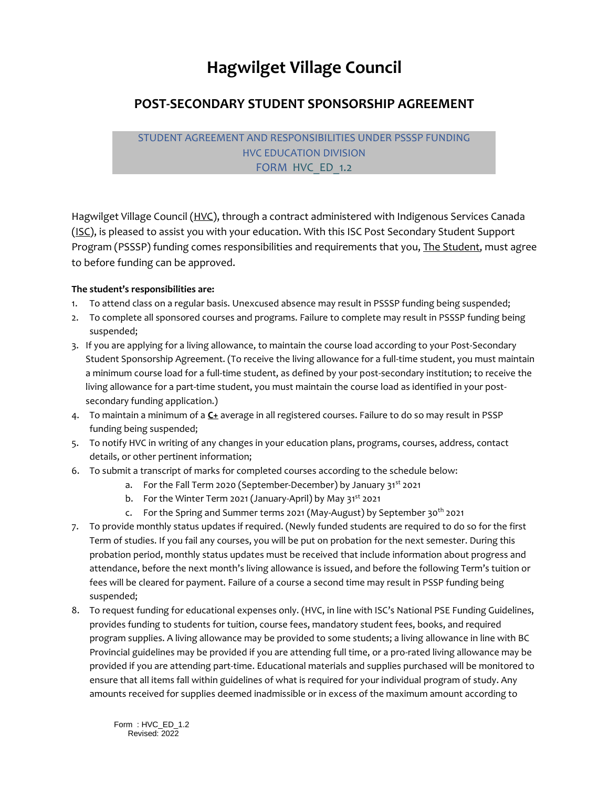## **Hagwilget Village Council**

## **POST-SECONDARY STUDENT SPONSORSHIP AGREEMENT**

## STUDENT AGREEMENT AND RESPONSIBILITIES UNDER PSSSP FUNDING HVC EDUCATION DIVISION FORM HVC ED 1.2

Hagwilget Village Council (HVC), through a contract administered with Indigenous Services Canada (ISC), is pleased to assist you with your education. With this ISC Post Secondary Student Support Program (PSSSP) funding comes responsibilities and requirements that you, The Student, must agree to before funding can be approved.

## **The student's responsibilities are:**

- 1. To attend class on a regular basis. Unexcused absence may result in PSSSP funding being suspended;
- 2. To complete all sponsored courses and programs. Failure to complete may result in PSSSP funding being suspended;
- 3. If you are applying for a living allowance, to maintain the course load according to your Post-Secondary Student Sponsorship Agreement. (To receive the living allowance for a full-time student, you must maintain a minimum course load for a full-time student, as defined by your post-secondary institution; to receive the living allowance for a part-time student, you must maintain the course load as identified in your postsecondary funding application.)
- 4. To maintain a minimum of a **C+** average in all registered courses. Failure to do so may result in PSSP funding being suspended;
- 5. To notify HVC in writing of any changes in your education plans, programs, courses, address, contact details, or other pertinent information;
- 6. To submit a transcript of marks for completed courses according to the schedule below:
	- a. For the Fall Term 2020 (September-December) by January 31<sup>st</sup> 2021
	- b. For the Winter Term 2021 (January-April) by May 31<sup>st</sup> 2021
	- c. For the Spring and Summer terms 2021 (May-August) by September 30<sup>th</sup> 2021
- 7. To provide monthly status updates if required. (Newly funded students are required to do so for the first Term of studies. If you fail any courses, you will be put on probation for the next semester. During this probation period, monthly status updates must be received that include information about progress and attendance, before the next month's living allowance is issued, and before the following Term's tuition or fees will be cleared for payment. Failure of a course a second time may result in PSSP funding being suspended;
- 8. To request funding for educational expenses only. (HVC, in line with ISC's National PSE Funding Guidelines, provides funding to students for tuition, course fees, mandatory student fees, books, and required program supplies. A living allowance may be provided to some students; a living allowance in line with BC Provincial guidelines may be provided if you are attending full time, or a pro-rated living allowance may be provided if you are attending part-time. Educational materials and supplies purchased will be monitored to ensure that all items fall within guidelines of what is required for your individual program of study. Any amounts received for supplies deemed inadmissible or in excess of the maximum amount according to